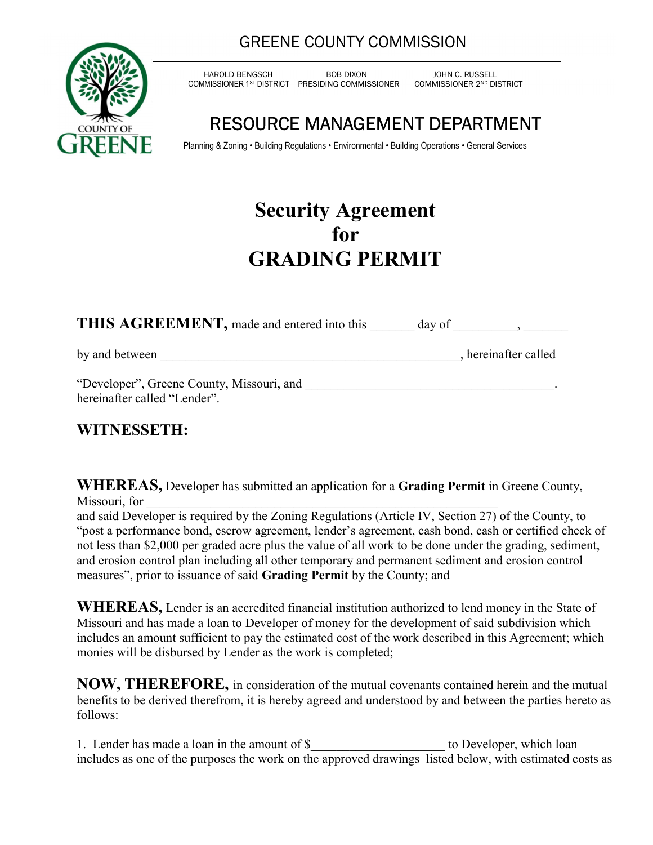### GREENE COUNTY COMMISSION



 HAROLD BENGSCH BOB DIXON JOHN C. RUSSELL COMMISSIONER 1ST DISTRICT PRESIDING COMMISSIONER

# RESOURCE MANAGEMENT DEPARTMENT

Planning & Zoning • Building Regulations • Environmental • Building Operations • General Services

# Security Agreement for GRADING PERMIT

THIS AGREEMENT, made and entered into this day of  $\qquad \qquad ,$ 

by and between example of the set of the set of the set of the set of the set of the set of the set of the set of the set of the set of the set of the set of the set of the set of the set of the set of the set of the set o

"Developer", Greene County, Missouri, and \_\_\_\_\_\_\_\_\_\_\_\_\_\_\_\_\_\_\_\_\_\_\_\_\_\_\_\_\_\_\_\_\_\_\_\_\_\_\_. hereinafter called "Lender".

### WITNESSETH:

WHEREAS, Developer has submitted an application for a Grading Permit in Greene County, Missouri, for

and said Developer is required by the Zoning Regulations (Article IV, Section 27) of the County, to "post a performance bond, escrow agreement, lender's agreement, cash bond, cash or certified check of not less than \$2,000 per graded acre plus the value of all work to be done under the grading, sediment, and erosion control plan including all other temporary and permanent sediment and erosion control measures", prior to issuance of said Grading Permit by the County; and

WHEREAS, Lender is an accredited financial institution authorized to lend money in the State of Missouri and has made a loan to Developer of money for the development of said subdivision which includes an amount sufficient to pay the estimated cost of the work described in this Agreement; which monies will be disbursed by Lender as the work is completed;

NOW, THEREFORE, in consideration of the mutual covenants contained herein and the mutual benefits to be derived therefrom, it is hereby agreed and understood by and between the parties hereto as follows:

1. Lender has made a loan in the amount of \$\_\_\_\_\_\_\_\_\_\_\_\_\_\_\_\_\_\_\_\_\_\_\_ to Developer, which loan includes as one of the purposes the work on the approved drawings listed below, with estimated costs as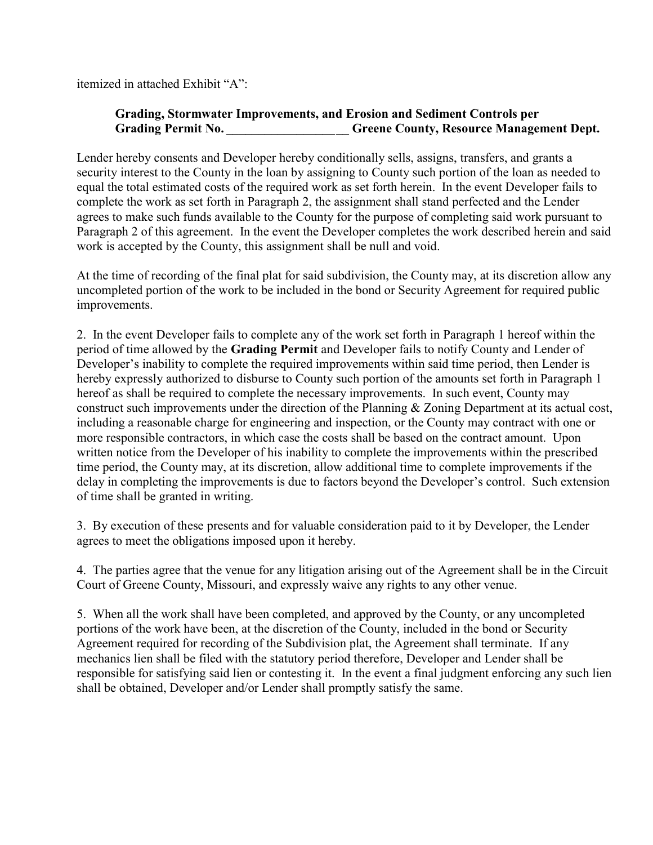itemized in attached Exhibit "A":

#### Grading, Stormwater Improvements, and Erosion and Sediment Controls per Grading Permit No. **Example 20 Greene County, Resource Management Dept.**

Lender hereby consents and Developer hereby conditionally sells, assigns, transfers, and grants a security interest to the County in the loan by assigning to County such portion of the loan as needed to equal the total estimated costs of the required work as set forth herein. In the event Developer fails to complete the work as set forth in Paragraph 2, the assignment shall stand perfected and the Lender agrees to make such funds available to the County for the purpose of completing said work pursuant to Paragraph 2 of this agreement. In the event the Developer completes the work described herein and said work is accepted by the County, this assignment shall be null and void.

At the time of recording of the final plat for said subdivision, the County may, at its discretion allow any uncompleted portion of the work to be included in the bond or Security Agreement for required public improvements.

2. In the event Developer fails to complete any of the work set forth in Paragraph 1 hereof within the period of time allowed by the Grading Permit and Developer fails to notify County and Lender of Developer's inability to complete the required improvements within said time period, then Lender is hereby expressly authorized to disburse to County such portion of the amounts set forth in Paragraph 1 hereof as shall be required to complete the necessary improvements. In such event, County may construct such improvements under the direction of the Planning & Zoning Department at its actual cost, including a reasonable charge for engineering and inspection, or the County may contract with one or more responsible contractors, in which case the costs shall be based on the contract amount. Upon written notice from the Developer of his inability to complete the improvements within the prescribed time period, the County may, at its discretion, allow additional time to complete improvements if the delay in completing the improvements is due to factors beyond the Developer's control. Such extension of time shall be granted in writing.

3. By execution of these presents and for valuable consideration paid to it by Developer, the Lender agrees to meet the obligations imposed upon it hereby.

4. The parties agree that the venue for any litigation arising out of the Agreement shall be in the Circuit Court of Greene County, Missouri, and expressly waive any rights to any other venue.

5. When all the work shall have been completed, and approved by the County, or any uncompleted portions of the work have been, at the discretion of the County, included in the bond or Security Agreement required for recording of the Subdivision plat, the Agreement shall terminate. If any mechanics lien shall be filed with the statutory period therefore, Developer and Lender shall be responsible for satisfying said lien or contesting it. In the event a final judgment enforcing any such lien shall be obtained, Developer and/or Lender shall promptly satisfy the same.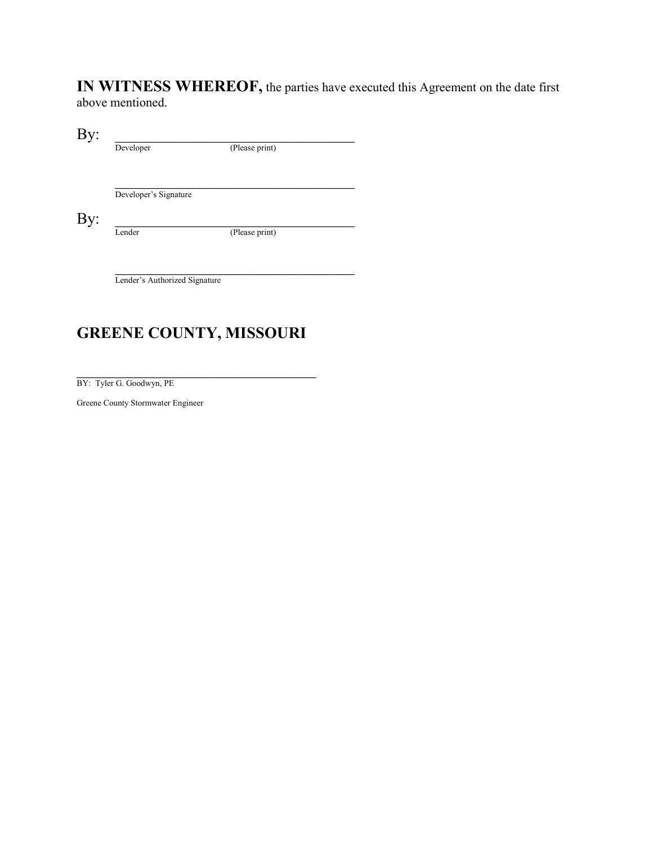IN WITNESS WHEREOF, the parties have executed this Agreement on the date first above mentioned.

 $\mathbf{By:}$ 

Developer (Please print)  $\mathcal{L}_\text{max}$  , where  $\mathcal{L}_\text{max}$  and  $\mathcal{L}_\text{max}$ Developer's Signature

By:  $\Box$ 

Lender (Please print)

Lender's Authorized Signature

### GREENE COUNTY, MISSOURI

 $\mathcal{L}_\text{max}$ 

BY: Tyler G. Goodwyn, PE

Greene County Stormwater Engineer